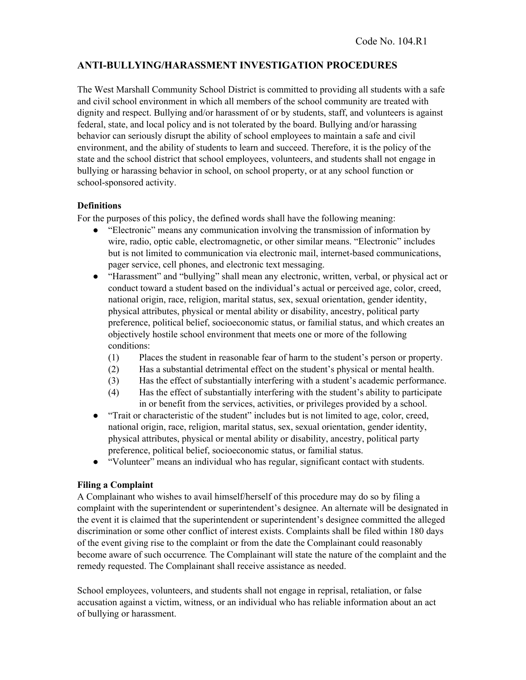# **ANTI-BULLYING/HARASSMENT INVESTIGATION PROCEDURES**

The West Marshall Community School District is committed to providing all students with a safe and civil school environment in which all members of the school community are treated with dignity and respect. Bullying and/or harassment of or by students, staff, and volunteers is against federal, state, and local policy and is not tolerated by the board. Bullying and/or harassing behavior can seriously disrupt the ability of school employees to maintain a safe and civil environment, and the ability of students to learn and succeed. Therefore, it is the policy of the state and the school district that school employees, volunteers, and students shall not engage in bullying or harassing behavior in school, on school property, or at any school function or school-sponsored activity.

### **Definitions**

For the purposes of this policy, the defined words shall have the following meaning:

- "Electronic" means any communication involving the transmission of information by wire, radio, optic cable, electromagnetic, or other similar means. "Electronic" includes but is not limited to communication via electronic mail, internet-based communications, pager service, cell phones, and electronic text messaging.
- "Harassment" and "bullying" shall mean any electronic, written, verbal, or physical act or conduct toward a student based on the individual's actual or perceived age, color, creed, national origin, race, religion, marital status, sex, sexual orientation, gender identity, physical attributes, physical or mental ability or disability, ancestry, political party preference, political belief, socioeconomic status, or familial status, and which creates an objectively hostile school environment that meets one or more of the following conditions:
	- (1) Places the student in reasonable fear of harm to the student's person or property.
	- (2) Has a substantial detrimental effect on the student's physical or mental health.
	- (3) Has the effect of substantially interfering with a student's academic performance.
	- (4) Has the effect of substantially interfering with the student's ability to participate in or benefit from the services, activities, or privileges provided by a school.
- "Trait or characteristic of the student" includes but is not limited to age, color, creed, national origin, race, religion, marital status, sex, sexual orientation, gender identity, physical attributes, physical or mental ability or disability, ancestry, political party preference, political belief, socioeconomic status, or familial status.
- "Volunteer" means an individual who has regular, significant contact with students.

#### **Filing a Complaint**

A Complainant who wishes to avail himself/herself of this procedure may do so by filing a complaint with the superintendent or superintendent's designee. An alternate will be designated in the event it is claimed that the superintendent or superintendent's designee committed the alleged discrimination or some other conflict of interest exists. Complaints shall be filed within 180 days of the event giving rise to the complaint or from the date the Complainant could reasonably become aware of such occurrence*.* The Complainant will state the nature of the complaint and the remedy requested. The Complainant shall receive assistance as needed.

School employees, volunteers, and students shall not engage in reprisal, retaliation, or false accusation against a victim, witness, or an individual who has reliable information about an act of bullying or harassment.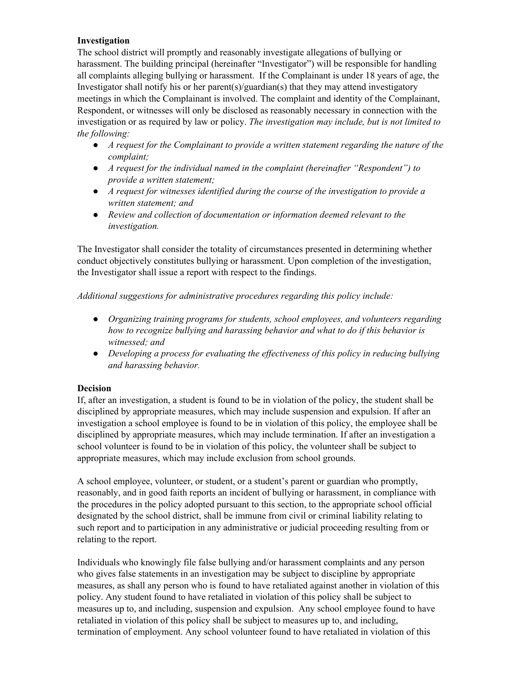## **Investigation**

The school district will promptly and reasonably investigate allegations of bullying or harassment. The building principal (hereinafter "Investigator") will be responsible for handling all complaints alleging bullying or harassment. If the Complainant is under 18 years of age, the Investigator shall notify his or her parent(s)/guardian(s) that they may attend investigatory meetings in which the Complainant is involved. The complaint and identity of the Complainant, Respondent, or witnesses will only be disclosed as reasonably necessary in connection with the investigation or as required by law or policy. *The investigation may include, but is not limited to the following:*

- *A request for the Complainant to provide a written statement regarding the nature of the complaint;*
- *A request for the individual named in the complaint (hereinafter "Respondent") to provide a written statement;*
- *A request for witnesses identified during the course of the investigation to provide a written statement; and*
- *Review and collection of documentation or information deemed relevant to the investigation.*

The Investigator shall consider the totality of circumstances presented in determining whether conduct objectively constitutes bullying or harassment. Upon completion of the investigation, the Investigator shall issue a report with respect to the findings.

*Additional suggestions for administrative procedures regarding this policy include:*

- *Organizing training programs for students, school employees, and volunteers regarding how to recognize bullying and harassing behavior and what to do if this behavior is witnessed; and*
- *Developing a process for evaluating the ef ectiveness of this policy in reducing bullying and harassing behavior.*

### **Decision**

If, after an investigation, a student is found to be in violation of the policy, the student shall be disciplined by appropriate measures, which may include suspension and expulsion. If after an investigation a school employee is found to be in violation of this policy, the employee shall be disciplined by appropriate measures, which may include termination. If after an investigation a school volunteer is found to be in violation of this policy, the volunteer shall be subject to appropriate measures, which may include exclusion from school grounds.

A school employee, volunteer, or student, or a student's parent or guardian who promptly, reasonably, and in good faith reports an incident of bullying or harassment, in compliance with the procedures in the policy adopted pursuant to this section, to the appropriate school official designated by the school district, shall be immune from civil or criminal liability relating to such report and to participation in any administrative or judicial proceeding resulting from or relating to the report.

Individuals who knowingly file false bullying and/or harassment complaints and any person who gives false statements in an investigation may be subject to discipline by appropriate measures, as shall any person who is found to have retaliated against another in violation of this policy. Any student found to have retaliated in violation of this policy shall be subject to measures up to, and including, suspension and expulsion. Any school employee found to have retaliated in violation of this policy shall be subject to measures up to, and including, termination of employment. Any school volunteer found to have retaliated in violation of this